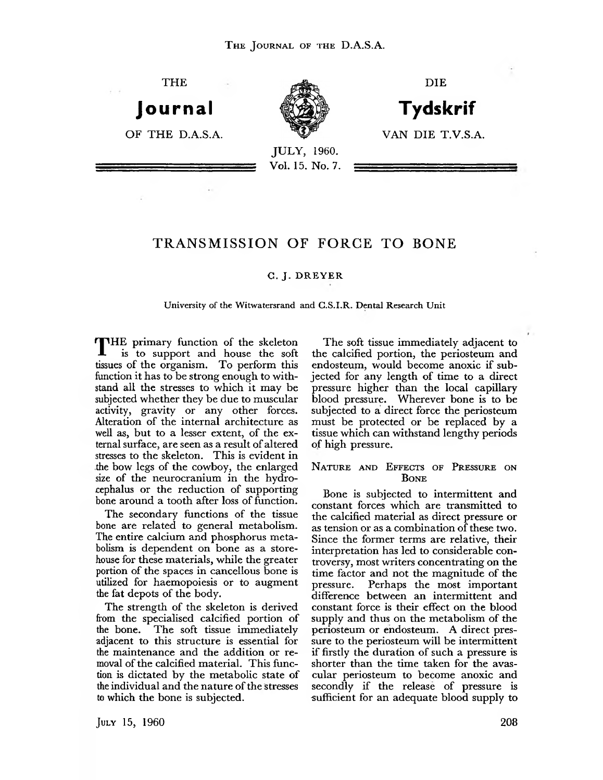THE

**Journal**



**Tydskrif** VAN DIE T.V.S.A.

DIE

OF THE D.A.S.A.

JULY, 1960. Vol. 15. No. 7.

# **TRANSM ISSION OF FORCE TO BONE**

# **G. J . D R E Y E R**

#### **University of the Witwatersrand and G.S.I.R. Dental Research Unit**

THE primary function of the skeleton<br>is to support and house the soft<br>tissues of the organism. To perform this<br>function it has to be strong enough to with-THE primary function of the skeleton<br>is to support and house the soft<br>tissues of the organism. To perform this<br>function it has to be strong enough to with-<br>istand all the stresses to which it may be<br>subjected whether they

bone around a tooth after loss of function.<br>The secondary functions of the tissue<br>bone are related to general metabolism.<br>The entire calcium and phosphorus meta-<br>bolism is dependent on bone as a store-<br>house for these mate

The strength of the skeleton is derived<br>from the specialised calcified portion of<br>the bone. The soft tissue immediately<br>adjacent to this structure is essential for<br>the maintenance and the addition or re-<br>moval of the calci

The soft tissue immediately adjacent to<br>the calcified portion, the periosteum and<br>endosteum, would become anoxic if sub-<br>jected for any length of time to a direct<br>pressure higher than the local capillary<br>blood pressure. Wh

## **Nature and Effects of Pressure on Bone**

Bone is subjected to intermittent and<br>constant forces which are transmitted to<br>the calcified material as direct pressure or<br>as tension or as a combination of these two.<br>Since the former terms are relative, their<br>interpreta

July **15, 1960 208**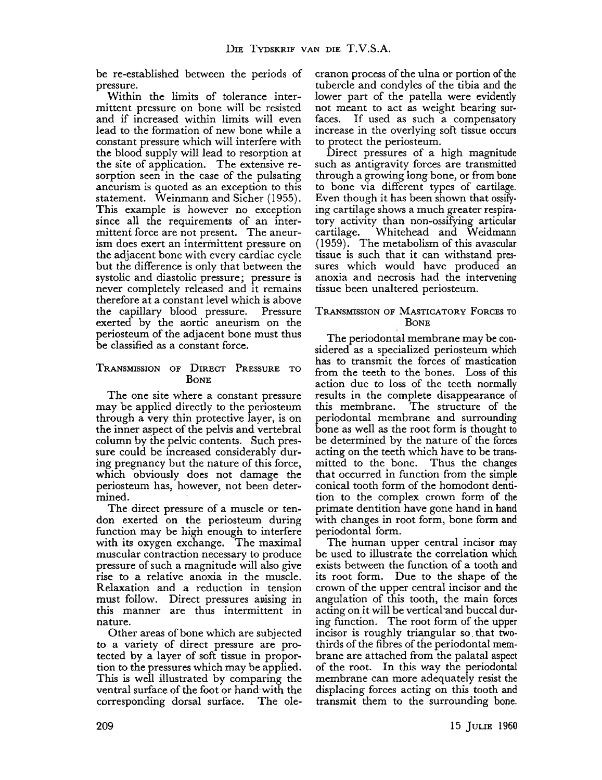be re-established between the periods of

Fressure.<br>
The limits of tolerance inter-<br>
mittent pressure.<br>
Within the limits of tolerance inter-<br>
mittent pressure on bone will be resisted<br>
and if increased within limits will even<br>
lead to the formation of new bone wh

## **T ransmission of D irect Pressure to Bone**

The one site where a constant pressure<br>may be applied directly to the periosteum<br>through a very thin protective layer, is on<br>the inner aspect of the pelvis and vertebral<br>column by the pelvic contents. Such pres-<br>sure could

this manner are thus intermittent in<br>nature.<br>Other areas of bone which are subjected<br>to a variety of direct pressure are pro-<br>tected by a layer of soft tissue in propor-<br>tion to the pressures which may be applied.<br>This is

cranon process of the ulna or portion of the<br>tubercle and condyles of the tibia and the<br>lower part of the patella were evidently<br>not meant to act as weight bearing sur-<br>faces. If used as such a compensatory<br>increase in the

# **T ransmission of Masticatory Forces to Bone**

The periodontal membrane may be considered as a specialized periosteum which<br>has to transmit the forces of mastication<br>from the teeth to the bones. Loss of this<br>action due to loss of the teeth normally<br>results in the compl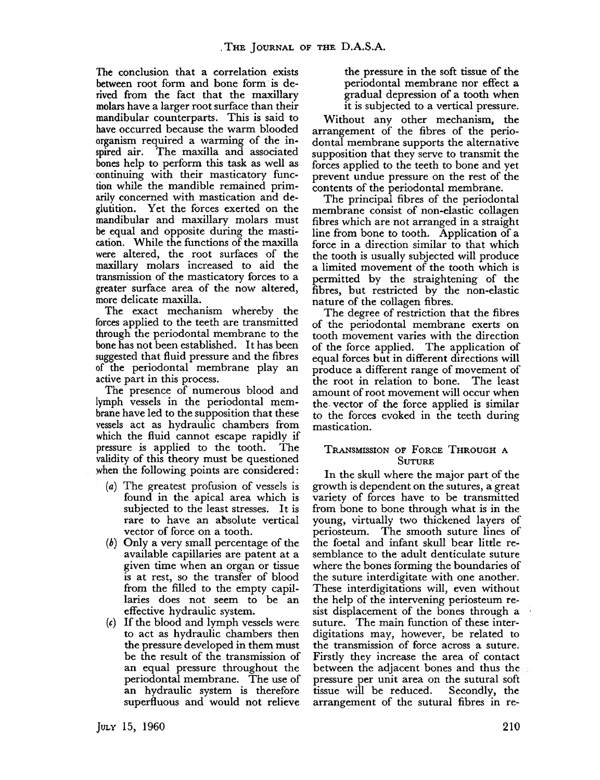The conclusion that a correlation exists<br>between root form and bone form is de-<br>rived from the fact that the maxillary<br>malars have a larger root surface than their<br>mandibular counterparts. This is said to<br>have occurred bec

- (a) The greatest profusion of vessels is found in the apical area which is subjected to the least stresses. It is rare to have an absolute vertical vector of force on a tooth.<br>(b) Only a very small percentage of the
- 
- (b) Only a very small percentage of the<br>
volton of note on a toom.<br>
(b) Only a very small percentage of the<br>
available capillaries are patent at a<br>
given time when an organ or tissue<br>
is at rest, so the transfer of blood<br>

the pressure in the soft tissue of the periodontal membrane nor effect a gradual depression of a tooth when it is subjected to a vertical pressure.

Without any other mechanism, the<br>arrangement of the fibres of the perio-<br>dontal membrane supports the alternative<br>supposition that they serve to transmit the<br>forces applied to the teeth to bone and yet<br>prevent undue pressu

# **T ransmission of Forge T hrough a Suture**

In the skull where the major part of the<br>growth is dependent on the sutures, a great<br>variety of forces have to be transmitted<br>from bone to bone through what is in the<br>young, virtually two thickened layers of<br>periosteum. Th

July 15, 1960 **210**